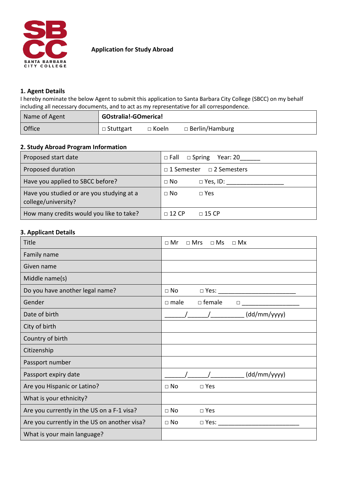

## **Application for Study Abroad**

## **1. Agent Details**

I hereby nominate the below Agent to submit this application to Santa Barbara City College (SBCC) on my behalf including all necessary documents, and to act as my representative for all correspondence.

| Name of Agent | GOstralia!-GOmerica! |              |                       |  |
|---------------|----------------------|--------------|-----------------------|--|
| Office        | □ Stuttgart          | $\Box$ Koeln | $\Box$ Berlin/Hamburg |  |

# **2. Study Abroad Program Information**

| Proposed start date                                              | $\Box$ Fall $\Box$ Spring<br>Year: 20 |
|------------------------------------------------------------------|---------------------------------------|
| Proposed duration                                                | □ 1 Semester □ 2 Semesters            |
| Have you applied to SBCC before?                                 | $\Box$ No<br>$\Box$ Yes, ID:          |
| Have you studied or are you studying at a<br>college/university? | $\Box$ No<br>$\Box$ Yes               |
| How many credits would you like to take?                         | $\Box$ 12 CP<br>$\Box$ 15 CP          |

## **3. Applicant Details**

| <b>Title</b>                                 | $\Box$ Mr<br>$\Box$ Mrs<br>$\square$ Ms<br>$\Box$ Mx |
|----------------------------------------------|------------------------------------------------------|
| Family name                                  |                                                      |
| Given name                                   |                                                      |
| Middle name(s)                               |                                                      |
| Do you have another legal name?              | $\square$ No<br>$\Box$ Yes:                          |
| Gender                                       | $\Box$ female<br>$\Box$ male<br>$\Box$               |
| Date of birth                                | (dd/mm/yyyy)                                         |
| City of birth                                |                                                      |
| Country of birth                             |                                                      |
| Citizenship                                  |                                                      |
| Passport number                              |                                                      |
| Passport expiry date                         | (dd/mm/yyyy)                                         |
| Are you Hispanic or Latino?                  | $\Box$ No<br>$\square$ Yes                           |
| What is your ethnicity?                      |                                                      |
| Are you currently in the US on a F-1 visa?   | $\square$ No<br>$\square$ Yes                        |
| Are you currently in the US on another visa? | $\square$ No<br>$\Box$ Yes:                          |
| What is your main language?                  |                                                      |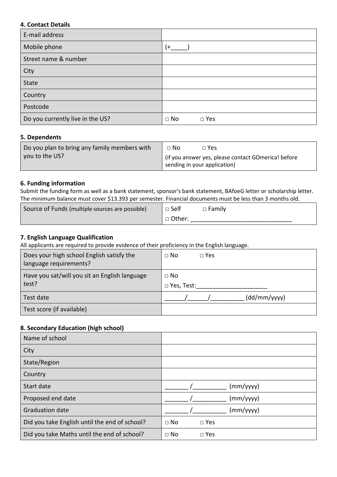## **4. Contact Details**

| E-mail address                   |                               |
|----------------------------------|-------------------------------|
| Mobile phone                     | (+                            |
| Street name & number             |                               |
| City                             |                               |
| <b>State</b>                     |                               |
| Country                          |                               |
| Postcode                         |                               |
| Do you currently live in the US? | $\square$ No<br>$\square$ Yes |

## **5. Dependents**

| Do you plan to bring any family members with | $\Box$ No<br>$\Box$ Yes                                                               |
|----------------------------------------------|---------------------------------------------------------------------------------------|
| vou to the US?                               | l (if you answer yes, please contact GOmerica! before<br>sending in your application) |

## **6. Funding information**

Submit the funding form as well as a bank statement, sponsor's bank statement, BAfoeG letter or scholarship letter. The minimum balance must cover \$13.393 per semester. Financial documents must be less than 3 months old.

| Source of Funds (multiple sources are possible) | $\mathsf{I} \square$ Self | $\Box$ Family |
|-------------------------------------------------|---------------------------|---------------|
|                                                 | □ Other:                  |               |

## **7. English Language Qualification**

All applicants are required to provide evidence of their proficiency in the English language.

| Does your high school English satisfy the     | $\Box$ No         |
|-----------------------------------------------|-------------------|
| language requirements?                        | $\Box$ Yes        |
| Have you sat/will you sit an English language | $\Box$ No         |
| test?                                         | $\Box$ Yes, Test: |
| Test date                                     | (dd/mm/yyy)       |
| Test score (if available)                     |                   |

#### **8. Secondary Education (high school)**

| Name of school                                |                               |
|-----------------------------------------------|-------------------------------|
| City                                          |                               |
| State/Region                                  |                               |
| Country                                       |                               |
| Start date                                    | (mm/yyyy)                     |
| Proposed end date                             | (mm/yyyy)                     |
| <b>Graduation date</b>                        | (mm/yyyy)                     |
| Did you take English until the end of school? | $\square$ No<br>$\square$ Yes |
| Did you take Maths until the end of school?   | $\Box$ No<br>$\square$ Yes    |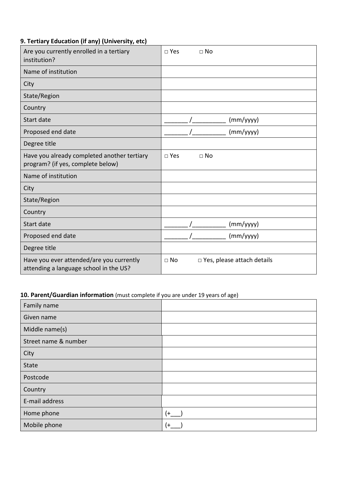# **9. Tertiary Education (if any) (University, etc)**

| Are you currently enrolled in a tertiary<br>institution?                           | $\square$ Yes<br>$\Box$ No                        |
|------------------------------------------------------------------------------------|---------------------------------------------------|
| Name of institution                                                                |                                                   |
| City                                                                               |                                                   |
| State/Region                                                                       |                                                   |
| Country                                                                            |                                                   |
| Start date                                                                         | (mm/yyyy)                                         |
| Proposed end date                                                                  | (mm/yyyy)                                         |
| Degree title                                                                       |                                                   |
| Have you already completed another tertiary<br>program? (if yes, complete below)   | $\square$ Yes<br>$\square$ No                     |
| Name of institution                                                                |                                                   |
| City                                                                               |                                                   |
| State/Region                                                                       |                                                   |
| Country                                                                            |                                                   |
| Start date                                                                         | (mm/yyyy)                                         |
| Proposed end date                                                                  | (mm/yyyy)                                         |
| Degree title                                                                       |                                                   |
| Have you ever attended/are you currently<br>attending a language school in the US? | $\Box$ Yes, please attach details<br>$\square$ No |

# **10. Parent/Guardian information** (must complete if you are under 19 years of age)

| Family name          |      |
|----------------------|------|
| Given name           |      |
| Middle name(s)       |      |
| Street name & number |      |
| City                 |      |
| State                |      |
| Postcode             |      |
| Country              |      |
| E-mail address       |      |
| Home phone           | $(+$ |
| Mobile phone         | (+   |